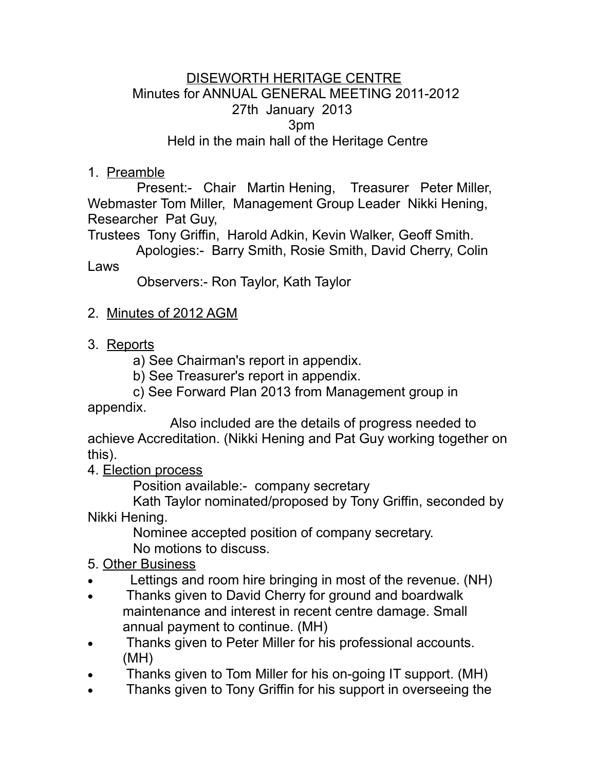## DISEWORTH HERITAGE CENTRE Minutes for ANNUAL GENERAL MEETING 2011-2012 27th January 2013 3pm Held in the main hall of the Heritage Centre

## 1. Preamble

 Present:- Chair Martin Hening, Treasurer Peter Miller, Webmaster Tom Miller, Management Group Leader Nikki Hening, Researcher Pat Guy,

Trustees Tony Griffin, Harold Adkin, Kevin Walker, Geoff Smith.

 Apologies:- Barry Smith, Rosie Smith, David Cherry, Colin Laws

Observers:- Ron Taylor, Kath Taylor

- 2. Minutes of 2012 AGM
- 3. Reports
	- a) See Chairman's report in appendix.
	- b) See Treasurer's report in appendix.
- c) See Forward Plan 2013 from Management group in appendix.

 Also included are the details of progress needed to achieve Accreditation. (Nikki Hening and Pat Guy working together on this).

4. Election process

Position available:- company secretary

 Kath Taylor nominated/proposed by Tony Griffin, seconded by Nikki Hening.

 Nominee accepted position of company secretary. No motions to discuss.

5. Other Business

- Lettings and room hire bringing in most of the revenue. (NH)
- Thanks given to David Cherry for ground and boardwalk maintenance and interest in recent centre damage. Small annual payment to continue. (MH)
- Thanks given to Peter Miller for his professional accounts. (MH)
- Thanks given to Tom Miller for his on-going IT support. (MH)
- Thanks given to Tony Griffin for his support in overseeing the